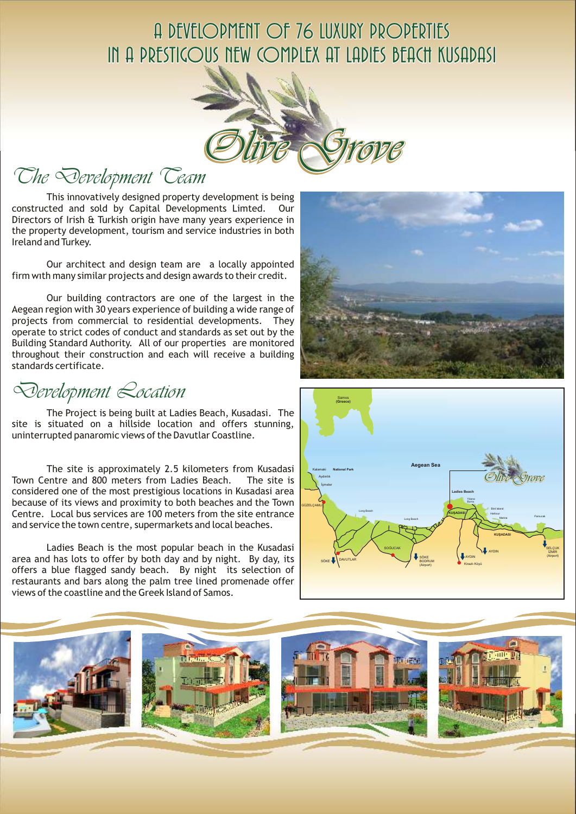## A DEVELOPMENT OF 76 LUXURY PROPERTIES IN A PRESTIGOUS NEW COMPLEX AT LADIES BEACH KUSADASI



The Development Team

This innovatively designed property development is being constructed and sold by Capital Developments Limted. Our Directors of Irish & Turkish origin have many years experience in the property development, tourism and service industries in both Ireland and Turkey.

Our architect and design team are a locally appointed firm wıth many similar projects and design awards to their credit.

Our building contractors are one of the largest in the Aegean region with 30 years experience of building a wide range of projects from commercial to residential developments. They operate to strict codes of conduct and standards as set out by the Building Standard Authority. All of our properties are monitored throughout their construction and each will receive a building standards certificate.

Development Location

The Project is being built at Ladies Beach, Kusadasi. The site is situated on a hillside location and offers stunning, uninterrupted panaromic views of the Davutlar Coastline.

The site is approximately 2.5 kilometers from Kusadasi Town Centre and 800 meters from Ladies Beach. The site is considered one of the most prestigious locations in Kusadasi area because of its views and proximity to both beaches and the Town Centre. Local bus services are 100 meters from the site entrance and service the town centre, supermarkets and local beaches.

Ladies Beach is the most popular beach in the Kusadasi area and has lots to offer by both day and by night. By day, its offers a blue flagged sandy beach. By night its selection of restaurants and bars along the palm tree lined promenade offer views of the coastline and the Greek Island of Samos.